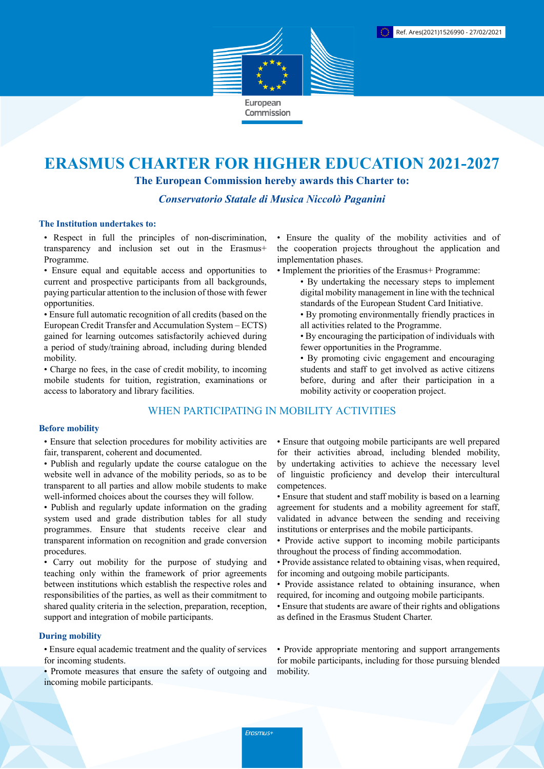

# **ERASMUS CHARTER FOR HIGHER EDUCATION 2021-2027**

**The European Commission hereby awards this Charter to:**

*Conservatorio Statale di Musica Niccolò Paganini*

#### **The Institution undertakes to:**

• Respect in full the principles of non-discrimination, transparency and inclusion set out in the Erasmus+ Programme.

• Ensure equal and equitable access and opportunities to current and prospective participants from all backgrounds, paying particular attention to the inclusion of those with fewer opportunities.

• Ensure full automatic recognition of all credits (based on the European Credit Transfer and Accumulation System – ECTS) gained for learning outcomes satisfactorily achieved during a period of study/training abroad, including during blended mobility.

• Charge no fees, in the case of credit mobility, to incoming mobile students for tuition, registration, examinations or access to laboratory and library facilities.

## WHEN PARTICIPATING IN MOBILITY ACTIVITIES

#### **Before mobility**

• Ensure that selection procedures for mobility activities are fair, transparent, coherent and documented.

- Publish and regularly update the course catalogue on the website well in advance of the mobility periods, so as to be transparent to all parties and allow mobile students to make well-informed choices about the courses they will follow.
- Publish and regularly update information on the grading system used and grade distribution tables for all study programmes. Ensure that students receive clear and transparent information on recognition and grade conversion procedures.

• Carry out mobility for the purpose of studying and teaching only within the framework of prior agreements between institutions which establish the respective roles and responsibilities of the parties, as well as their commitment to shared quality criteria in the selection, preparation, reception, support and integration of mobile participants.

#### **During mobility**

• Ensure equal academic treatment and the quality of services for incoming students.

• Promote measures that ensure the safety of outgoing and incoming mobile participants.

• Ensure the quality of the mobility activities and of the cooperation projects throughout the application and implementation phases.

- Implement the priorities of the Erasmus+ Programme:
	- By undertaking the necessary steps to implement digital mobility management in line with the technical standards of the European Student Card Initiative.
	- By promoting environmentally friendly practices in all activities related to the Programme.
	- By encouraging the participation of individuals with fewer opportunities in the Programme.
	- By promoting civic engagement and encouraging students and staff to get involved as active citizens before, during and after their participation in a mobility activity or cooperation project.

• Ensure that outgoing mobile participants are well prepared for their activities abroad, including blended mobility, by undertaking activities to achieve the necessary level of linguistic proficiency and develop their intercultural competences.

- Ensure that student and staff mobility is based on a learning agreement for students and a mobility agreement for staff, validated in advance between the sending and receiving institutions or enterprises and the mobile participants.
- Provide active support to incoming mobile participants throughout the process of finding accommodation.
- Provide assistance related to obtaining visas, when required, for incoming and outgoing mobile participants.
- Provide assistance related to obtaining insurance, when required, for incoming and outgoing mobile participants.
- Ensure that students are aware of their rights and obligations as defined in the Erasmus Student Charter.

• Provide appropriate mentoring and support arrangements for mobile participants, including for those pursuing blended mobility.

Erasmus+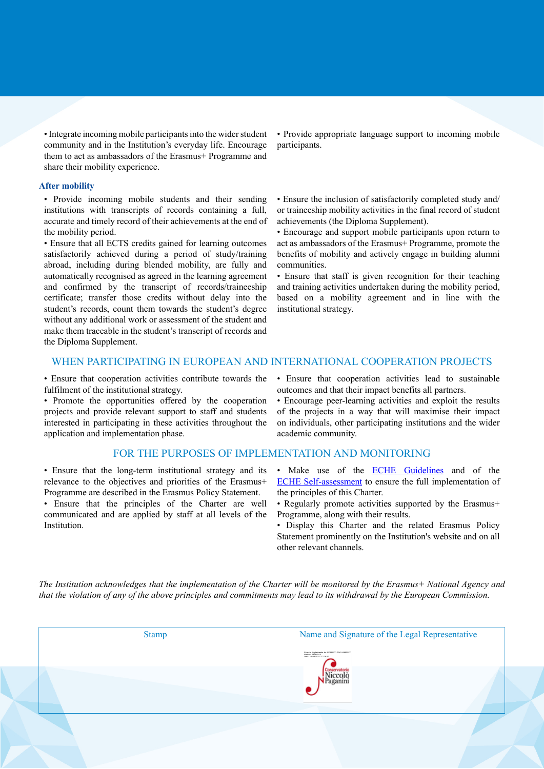• Integrate incoming mobile participants into the wider student community and in the Institution's everyday life. Encourage them to act as ambassadors of the Erasmus+ Programme and share their mobility experience.

#### **After mobility**

• Provide incoming mobile students and their sending institutions with transcripts of records containing a full, accurate and timely record of their achievements at the end of the mobility period.

• Ensure that all ECTS credits gained for learning outcomes satisfactorily achieved during a period of study/training abroad, including during blended mobility, are fully and automatically recognised as agreed in the learning agreement and confirmed by the transcript of records/traineeship certificate; transfer those credits without delay into the student's records, count them towards the student's degree without any additional work or assessment of the student and make them traceable in the student's transcript of records and the Diploma Supplement.

• Provide appropriate language support to incoming mobile participants.

• Ensure the inclusion of satisfactorily completed study and/ or traineeship mobility activities in the final record of student achievements (the Diploma Supplement).

• Encourage and support mobile participants upon return to act as ambassadors of the Erasmus+ Programme, promote the benefits of mobility and actively engage in building alumni communities.

• Ensure that staff is given recognition for their teaching and training activities undertaken during the mobility period, based on a mobility agreement and in line with the institutional strategy.

### WHEN PARTICIPATING IN EUROPEAN AND INTERNATIONAL COOPERATION PROJECTS

• Ensure that cooperation activities contribute towards the fulfilment of the institutional strategy.

• Promote the opportunities offered by the cooperation projects and provide relevant support to staff and students interested in participating in these activities throughout the application and implementation phase.

#### FOR THE PURPOSES OF IMPLEMENTATION AND MONITORING

• Ensure that the long-term institutional strategy and its relevance to the objectives and priorities of the Erasmus+ Programme are described in the Erasmus Policy Statement.

• Ensure that the principles of the Charter are well communicated and are applied by staff at all levels of the Institution.

• Ensure that cooperation activities lead to sustainable outcomes and that their impact benefits all partners.

• Encourage peer-learning activities and exploit the results of the projects in a way that will maximise their impact on individuals, other participating institutions and the wider academic community.

- Make use of the **ECHE Guidelines** and of the [ECHE Self-assessment](https://ec.europa.eu/programmes/erasmus-plus/eche/start_en) to ensure the full implementation of the principles of this Charter.
- Regularly promote activities supported by the Erasmus+ Programme, along with their results.
- Display this Charter and the related Erasmus Policy Statement prominently on the Institution's website and on all other relevant channels.

The Institution acknowledges that the implementation of the Charter will be monitored by the Erasmus+ National Agency and that the violation of any of the above principles and commitments may lead to its withdrawal by the European Commission.

| <b>Stamp</b> | Name and Signature of the Legal Representative                                                |
|--------------|-----------------------------------------------------------------------------------------------|
|              | Firmato digitalmente da: ROBERTO TAGLIAMACCO<br>Motivo: 43184545<br>Data: 16/03/2021 12:16:52 |
|              |                                                                                               |
|              |                                                                                               |
|              |                                                                                               |